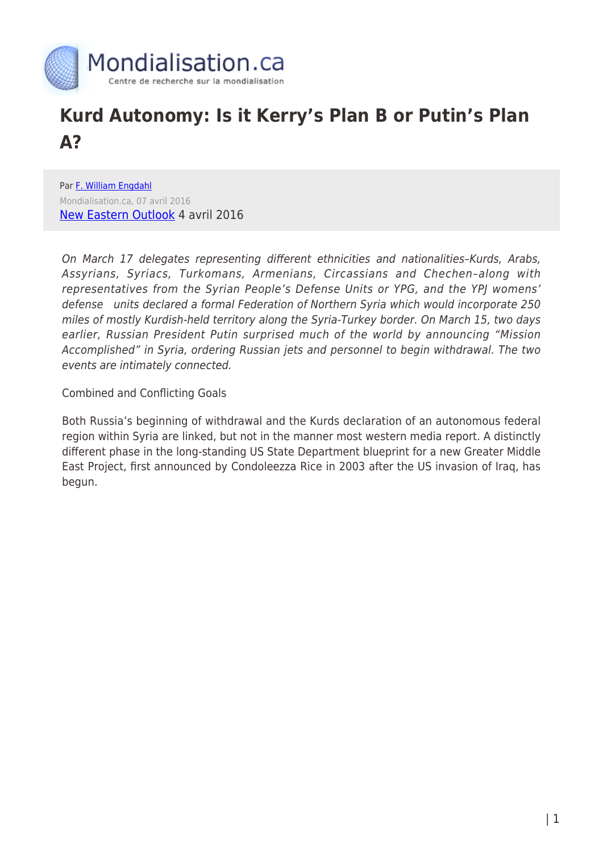

## **Kurd Autonomy: Is it Kerry's Plan B or Putin's Plan A?**

Par [F. William Engdahl](https://www.mondialisation.ca/author/f-william-engdahl) Mondialisation.ca, 07 avril 2016 [New Eastern Outlook](http://journal-neo.org/2016/04/04/kurd-autonomy-is-it-kerrys-plan-b-or-putins-plan-a/) 4 avril 2016

On March 17 delegates representing different ethnicities and nationalities–Kurds, Arabs, Assyrians, Syriacs, Turkomans, Armenians, Circassians and Chechen–along with representatives from the Syrian People's Defense Units or YPG, and the YPJ womens' defense units declared a formal Federation of Northern Syria which would incorporate 250 miles of mostly Kurdish-held territory along the Syria-Turkey border. On March 15, two days earlier, Russian President Putin surprised much of the world by announcing "Mission Accomplished" in Syria, ordering Russian jets and personnel to begin withdrawal. The two events are intimately connected.

Combined and Conflicting Goals

Both Russia's beginning of withdrawal and the Kurds declaration of an autonomous federal region within Syria are linked, but not in the manner most western media report. A distinctly different phase in the long-standing US State Department blueprint for a new Greater Middle East Project, first announced by Condoleezza Rice in 2003 after the US invasion of Iraq, has begun.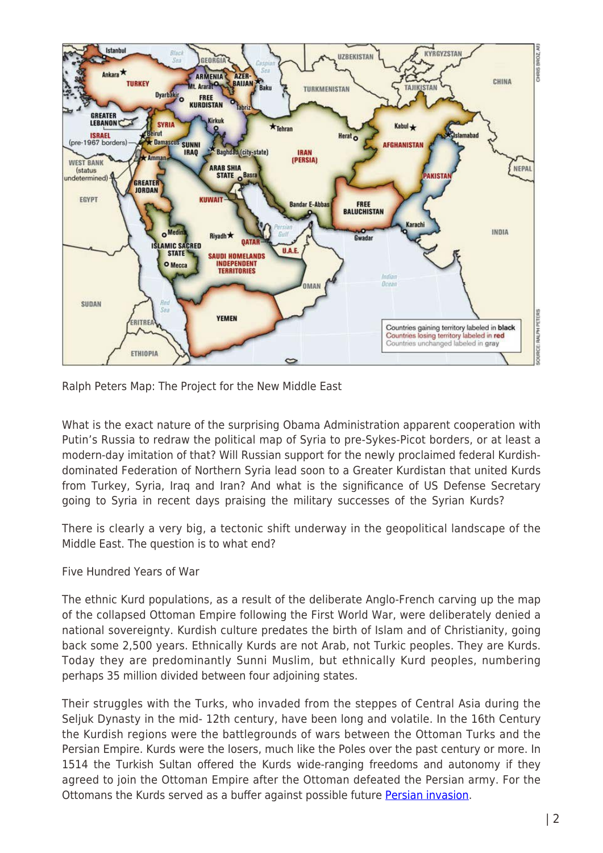

Ralph Peters Map: The Project for the New Middle East

What is the exact nature of the surprising Obama Administration apparent cooperation with Putin's Russia to redraw the political map of Syria to pre-Sykes-Picot borders, or at least a modern-day imitation of that? Will Russian support for the newly proclaimed federal Kurdishdominated Federation of Northern Syria lead soon to a Greater Kurdistan that united Kurds from Turkey, Syria, Iraq and Iran? And what is the significance of US Defense Secretary going to Syria in recent days praising the military successes of the Syrian Kurds?

There is clearly a very big, a tectonic shift underway in the geopolitical landscape of the Middle East. The question is to what end?

Five Hundred Years of War

The ethnic Kurd populations, as a result of the deliberate Anglo-French carving up the map of the collapsed Ottoman Empire following the First World War, were deliberately denied a national sovereignty. Kurdish culture predates the birth of Islam and of Christianity, going back some 2,500 years. Ethnically Kurds are not Arab, not Turkic peoples. They are Kurds. Today they are predominantly Sunni Muslim, but ethnically Kurd peoples, numbering perhaps 35 million divided between four adjoining states.

Their struggles with the Turks, who invaded from the steppes of Central Asia during the Seljuk Dynasty in the mid- 12th century, have been long and volatile. In the 16th Century the Kurdish regions were the battlegrounds of wars between the Ottoman Turks and the Persian Empire. Kurds were the losers, much like the Poles over the past century or more. In 1514 the Turkish Sultan offered the Kurds wide-ranging freedoms and autonomy if they agreed to join the Ottoman Empire after the Ottoman defeated the Persian army. For the Ottomans the Kurds served as a buffer against possible future **Persian invasion**.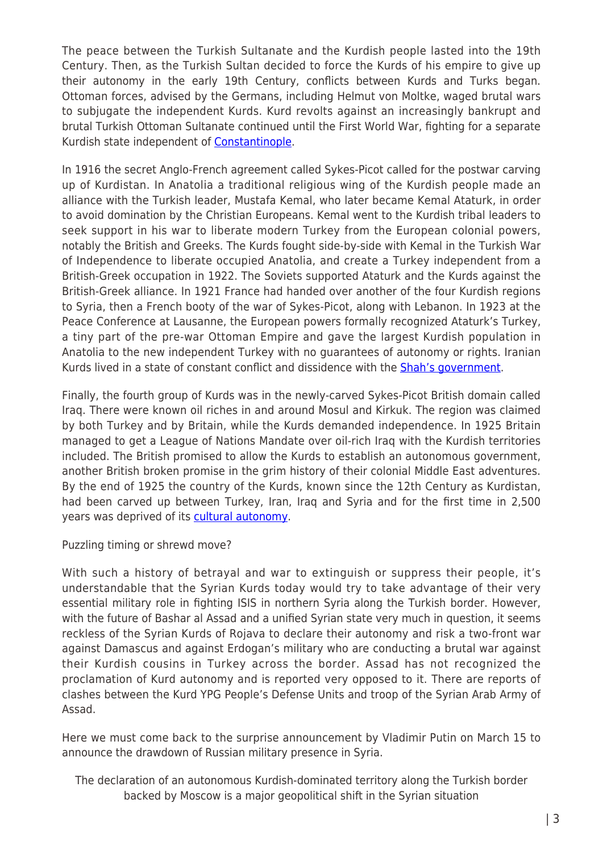The peace between the Turkish Sultanate and the Kurdish people lasted into the 19th Century. Then, as the Turkish Sultan decided to force the Kurds of his empire to give up their autonomy in the early 19th Century, conflicts between Kurds and Turks began. Ottoman forces, advised by the Germans, including Helmut von Moltke, waged brutal wars to subjugate the independent Kurds. Kurd revolts against an increasingly bankrupt and brutal Turkish Ottoman Sultanate continued until the First World War, fighting for a separate Kurdish state independent of [Constantinople](http://www.institutkurde.org/en/institute/who_are_the_kurds.php).

In 1916 the secret Anglo-French agreement called Sykes-Picot called for the postwar carving up of Kurdistan. In Anatolia a traditional religious wing of the Kurdish people made an alliance with the Turkish leader, Mustafa Kemal, who later became Kemal Ataturk, in order to avoid domination by the Christian Europeans. Kemal went to the Kurdish tribal leaders to seek support in his war to liberate modern Turkey from the European colonial powers, notably the British and Greeks. The Kurds fought side-by-side with Kemal in the Turkish War of Independence to liberate occupied Anatolia, and create a Turkey independent from a British-Greek occupation in 1922. The Soviets supported Ataturk and the Kurds against the British-Greek alliance. In 1921 France had handed over another of the four Kurdish regions to Syria, then a French booty of the war of Sykes-Picot, along with Lebanon. In 1923 at the Peace Conference at Lausanne, the European powers formally recognized Ataturk's Turkey, a tiny part of the pre-war Ottoman Empire and gave the largest Kurdish population in Anatolia to the new independent Turkey with no guarantees of autonomy or rights. Iranian Kurds lived in a state of constant conflict and dissidence with the **Shah's government**.

Finally, the fourth group of Kurds was in the newly-carved Sykes-Picot British domain called Iraq. There were known oil riches in and around Mosul and Kirkuk. The region was claimed by both Turkey and by Britain, while the Kurds demanded independence. In 1925 Britain managed to get a League of Nations Mandate over oil-rich Iraq with the Kurdish territories included. The British promised to allow the Kurds to establish an autonomous government, another British broken promise in the grim history of their colonial Middle East adventures. By the end of 1925 the country of the Kurds, known since the 12th Century as Kurdistan, had been carved up between Turkey, Iran, Iraq and Syria and for the first time in 2,500 years was deprived of its [cultural autonomy](http://www.institutkurde.org/en/institute/who_are_the_kurds.php).

Puzzling timing or shrewd move?

With such a history of betrayal and war to extinguish or suppress their people, it's understandable that the Syrian Kurds today would try to take advantage of their very essential military role in fighting ISIS in northern Syria along the Turkish border. However, with the future of Bashar al Assad and a unified Syrian state very much in question, it seems reckless of the Syrian Kurds of Rojava to declare their autonomy and risk a two-front war against Damascus and against Erdogan's military who are conducting a brutal war against their Kurdish cousins in Turkey across the border. Assad has not recognized the proclamation of Kurd autonomy and is reported very opposed to it. There are reports of clashes between the Kurd YPG People's Defense Units and troop of the Syrian Arab Army of Assad.

Here we must come back to the surprise announcement by Vladimir Putin on March 15 to announce the drawdown of Russian military presence in Syria.

The declaration of an autonomous Kurdish-dominated territory along the Turkish border backed by Moscow is a major geopolitical shift in the Syrian situation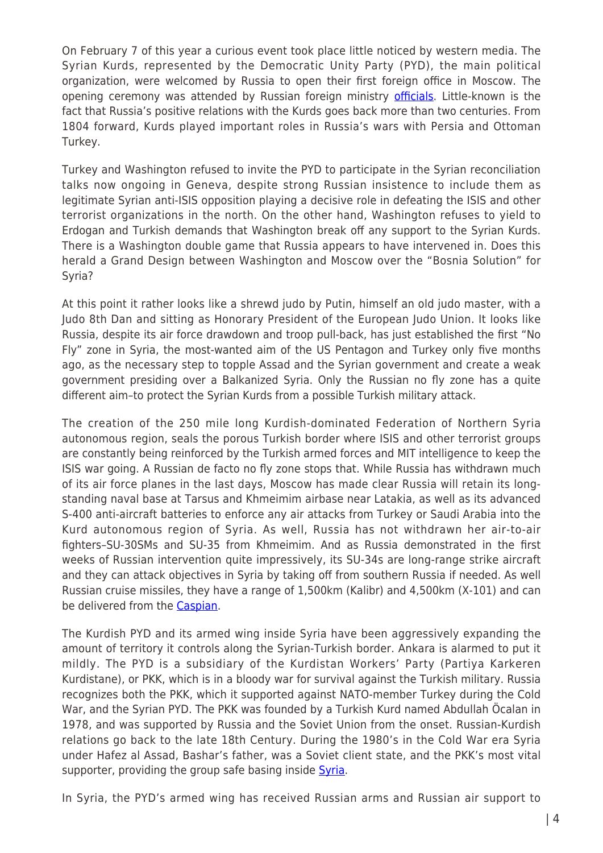On February 7 of this year a curious event took place little noticed by western media. The Syrian Kurds, represented by the Democratic Unity Party (PYD), the main political organization, were welcomed by Russia to open their first foreign office in Moscow. The opening ceremony was attended by Russian foreign ministry [officials](http://rudaw.net/english/middleeast/syria/070220161). Little-known is the fact that Russia's positive relations with the Kurds goes back more than two centuries. From 1804 forward, Kurds played important roles in Russia's wars with Persia and Ottoman Turkey.

Turkey and Washington refused to invite the PYD to participate in the Syrian reconciliation talks now ongoing in Geneva, despite strong Russian insistence to include them as legitimate Syrian anti-ISIS opposition playing a decisive role in defeating the ISIS and other terrorist organizations in the north. On the other hand, Washington refuses to yield to Erdogan and Turkish demands that Washington break off any support to the Syrian Kurds. There is a Washington double game that Russia appears to have intervened in. Does this herald a Grand Design between Washington and Moscow over the "Bosnia Solution" for Syria?

At this point it rather looks like a shrewd judo by Putin, himself an old judo master, with a Judo 8th Dan and sitting as Honorary President of the European Judo Union. It looks like Russia, despite its air force drawdown and troop pull-back, has just established the first "No Fly" zone in Syria, the most-wanted aim of the US Pentagon and Turkey only five months ago, as the necessary step to topple Assad and the Syrian government and create a weak government presiding over a Balkanized Syria. Only the Russian no fly zone has a quite different aim–to protect the Syrian Kurds from a possible Turkish military attack.

The creation of the 250 mile long Kurdish-dominated Federation of Northern Syria autonomous region, seals the porous Turkish border where ISIS and other terrorist groups are constantly being reinforced by the Turkish armed forces and MIT intelligence to keep the ISIS war going. A Russian de facto no fly zone stops that. While Russia has withdrawn much of its air force planes in the last days, Moscow has made clear Russia will retain its longstanding naval base at Tarsus and Khmeimim airbase near Latakia, as well as its advanced S-400 anti-aircraft batteries to enforce any air attacks from Turkey or Saudi Arabia into the Kurd autonomous region of Syria. As well, Russia has not withdrawn her air-to-air fighters–SU-30SMs and SU-35 from Khmeimim. And as Russia demonstrated in the first weeks of Russian intervention quite impressively, its SU-34s are long-range strike aircraft and they can attack objectives in Syria by taking off from southern Russia if needed. As well Russian cruise missiles, they have a range of 1,500km (Kalibr) and 4,500km (X-101) and can be delivered from the [Caspian.](http://www.unz.com/tsaker/week-twenty-two-of-the-russian-military-intervention-in-syria-putin-announces-a-new-strategy/)

The Kurdish PYD and its armed wing inside Syria have been aggressively expanding the amount of territory it controls along the Syrian-Turkish border. Ankara is alarmed to put it mildly. The PYD is a subsidiary of the Kurdistan Workers' Party (Partiya Karkeren Kurdistane), or PKK, which is in a bloody war for survival against the Turkish military. Russia recognizes both the PKK, which it supported against NATO-member Turkey during the Cold War, and the Syrian PYD. The PKK was founded by a Turkish Kurd named Abdullah Öcalan in 1978, and was supported by Russia and the Soviet Union from the onset. Russian-Kurdish relations go back to the late 18th Century. During the 1980's in the Cold War era Syria under Hafez al Assad, Bashar's father, was a Soviet client state, and the PKK's most vital supporter, providing the group safe basing inside [Syria](http://ekurd.net/vladimir-putin-godfather-kurdistan-2016-03-01).

In Syria, the PYD's armed wing has received Russian arms and Russian air support to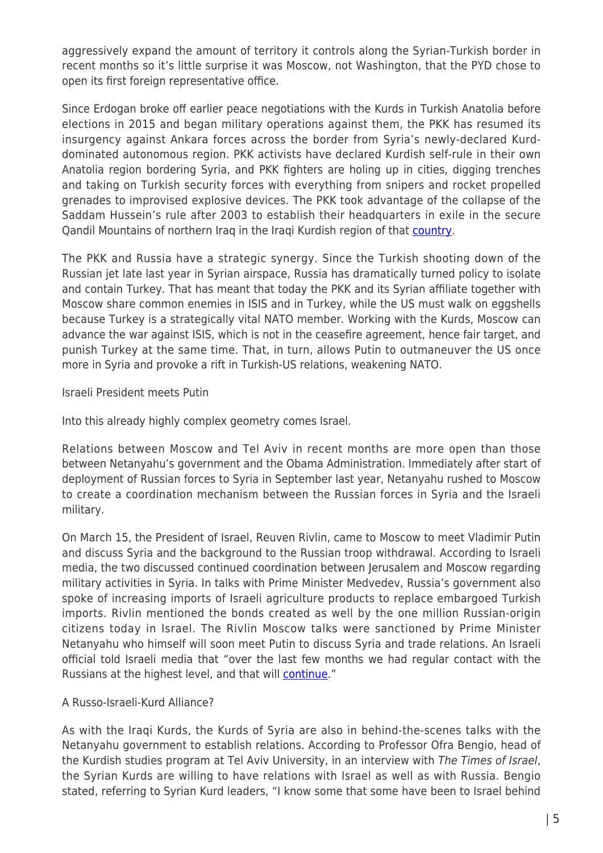aggressively expand the amount of territory it controls along the Syrian-Turkish border in recent months so it's little surprise it was Moscow, not Washington, that the PYD chose to open its first foreign representative office.

Since Erdogan broke off earlier peace negotiations with the Kurds in Turkish Anatolia before elections in 2015 and began military operations against them, the PKK has resumed its insurgency against Ankara forces across the border from Syria's newly-declared Kurddominated autonomous region. PKK activists have declared Kurdish self-rule in their own Anatolia region bordering Syria, and PKK fighters are holing up in cities, digging trenches and taking on Turkish security forces with everything from snipers and rocket propelled grenades to improvised explosive devices. The PKK took advantage of the collapse of the Saddam Hussein's rule after 2003 to establish their headquarters in exile in the secure Qandil Mountains of northern Iraq in the Iraqi Kurdish region of that [country](http://ekurd.net/vladimir-putin-godfather-kurdistan-2016-03-01).

The PKK and Russia have a strategic synergy. Since the Turkish shooting down of the Russian jet late last year in Syrian airspace, Russia has dramatically turned policy to isolate and contain Turkey. That has meant that today the PKK and its Syrian affiliate together with Moscow share common enemies in ISIS and in Turkey, while the US must walk on eggshells because Turkey is a strategically vital NATO member. Working with the Kurds, Moscow can advance the war against ISIS, which is not in the ceasefire agreement, hence fair target, and punish Turkey at the same time. That, in turn, allows Putin to outmaneuver the US once more in Syria and provoke a rift in Turkish-US relations, weakening NATO.

Israeli President meets Putin

Into this already highly complex geometry comes Israel.

Relations between Moscow and Tel Aviv in recent months are more open than those between Netanyahu's government and the Obama Administration. Immediately after start of deployment of Russian forces to Syria in September last year, Netanyahu rushed to Moscow to create a coordination mechanism between the Russian forces in Syria and the Israeli military.

On March 15, the President of Israel, Reuven Rivlin, came to Moscow to meet Vladimir Putin and discuss Syria and the background to the Russian troop withdrawal. According to Israeli media, the two discussed continued coordination between Jerusalem and Moscow regarding military activities in Syria. In talks with Prime Minister Medvedev, Russia's government also spoke of increasing imports of Israeli agriculture products to replace embargoed Turkish imports. Rivlin mentioned the bonds created as well by the one million Russian-origin citizens today in Israel. The Rivlin Moscow talks were sanctioned by Prime Minister Netanyahu who himself will soon meet Putin to discuss Syria and trade relations. An Israeli official told Israeli media that "over the last few months we had regular contact with the Russians at the highest level, and that will [continue.](http://www.timesofisrael.com/moscow-wants-more-trade-with-israel-russian-pm-tells-rivlin/)"

## A Russo-Israeli-Kurd Alliance?

As with the Iraqi Kurds, the Kurds of Syria are also in behind-the-scenes talks with the Netanyahu government to establish relations. According to Professor Ofra Bengio, head of the Kurdish studies program at Tel Aviv University, in an interview with The Times of Israel, the Syrian Kurds are willing to have relations with Israel as well as with Russia. Bengio stated, referring to Syrian Kurd leaders, "I know some that some have been to Israel behind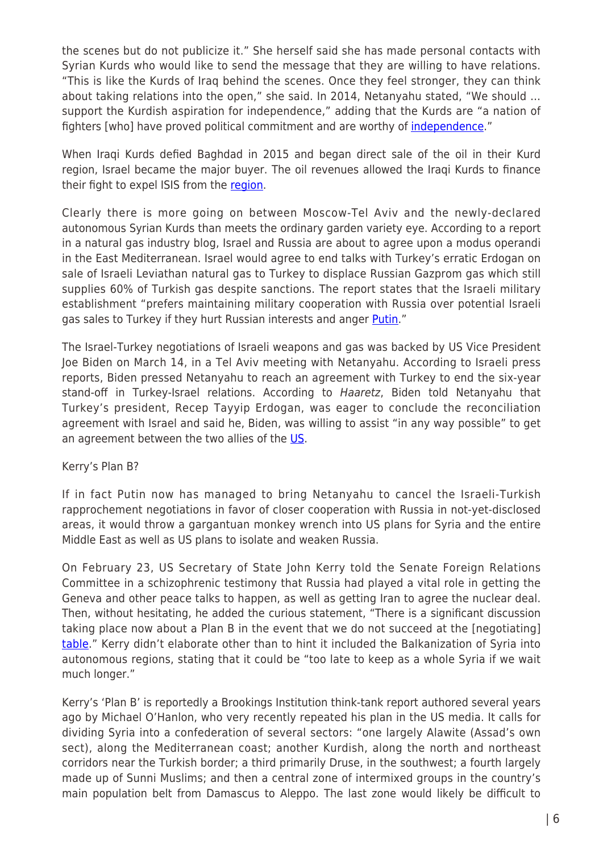the scenes but do not publicize it." She herself said she has made personal contacts with Syrian Kurds who would like to send the message that they are willing to have relations. "This is like the Kurds of Iraq behind the scenes. Once they feel stronger, they can think about taking relations into the open," she said. In 2014, Netanyahu stated, "We should … support the Kurdish aspiration for independence," adding that the Kurds are "a nation of fighters [who] have proved political commitment and are worthy of *independence."* 

When Iraqi Kurds defied Baghdad in 2015 and began direct sale of the oil in their Kurd region, Israel became the major buyer. The oil revenues allowed the Iraqi Kurds to finance their fight to expel ISIS from the [region.](http://www.timesofisrael.com/after-declaring-autonomy-will-israel-embrace-syrias-kurds/)

Clearly there is more going on between Moscow-Tel Aviv and the newly-declared autonomous Syrian Kurds than meets the ordinary garden variety eye. According to a report in a natural gas industry blog, Israel and Russia are about to agree upon a modus operandi in the East Mediterranean. Israel would agree to end talks with Turkey's erratic Erdogan on sale of Israeli Leviathan natural gas to Turkey to displace Russian Gazprom gas which still supplies 60% of Turkish gas despite sanctions. The report states that the Israeli military establishment "prefers maintaining military cooperation with Russia over potential Israeli gas sales to Turkey if they hurt Russian interests and anger **[Putin](http://www.naturalgaseurope.com/russian-gas-interests-to-dictate-israel-tukey-gas-deals-28675).**"

The Israel-Turkey negotiations of Israeli weapons and gas was backed by US Vice President Joe Biden on March 14, in a Tel Aviv meeting with Netanyahu. According to Israeli press reports, Biden pressed Netanyahu to reach an agreement with Turkey to end the six-year stand-off in Turkey-Israel relations. According to Haaretz, Biden told Netanyahu that Turkey's president, Recep Tayyip Erdogan, was eager to conclude the reconciliation agreement with Israel and said he, Biden, was willing to assist "in any way possible" to get an agreement between the two allies of the [US.](http://www.naturalgaseurope.com/noble-ceo-met-netanyahu-before-high-court-of-justice-to-release-its-decision-on-the-natural-gas-framework-28643)

Kerry's Plan B?

If in fact Putin now has managed to bring Netanyahu to cancel the Israeli-Turkish rapprochement negotiations in favor of closer cooperation with Russia in not-yet-disclosed areas, it would throw a gargantuan monkey wrench into US plans for Syria and the entire Middle East as well as US plans to isolate and weaken Russia.

On February 23, US Secretary of State John Kerry told the Senate Foreign Relations Committee in a schizophrenic testimony that Russia had played a vital role in getting the Geneva and other peace talks to happen, as well as getting Iran to agree the nuclear deal. Then, without hesitating, he added the curious statement, "There is a significant discussion taking place now about a Plan B in the event that we do not succeed at the [negotiating] [table.](https://www.rt.com/usa/333419-kerry-plan-ceasefire-syria/)" Kerry didn't elaborate other than to hint it included the Balkanization of Syria into autonomous regions, stating that it could be "too late to keep as a whole Syria if we wait much longer."

Kerry's 'Plan B' is reportedly a Brookings Institution think-tank report authored several years ago by Michael O'Hanlon, who very recently repeated his plan in the US media. It calls for dividing Syria into a confederation of several sectors: "one largely Alawite (Assad's own sect), along the Mediterranean coast; another Kurdish, along the north and northeast corridors near the Turkish border; a third primarily Druse, in the southwest; a fourth largely made up of Sunni Muslims; and then a central zone of intermixed groups in the country's main population belt from Damascus to Aleppo. The last zone would likely be difficult to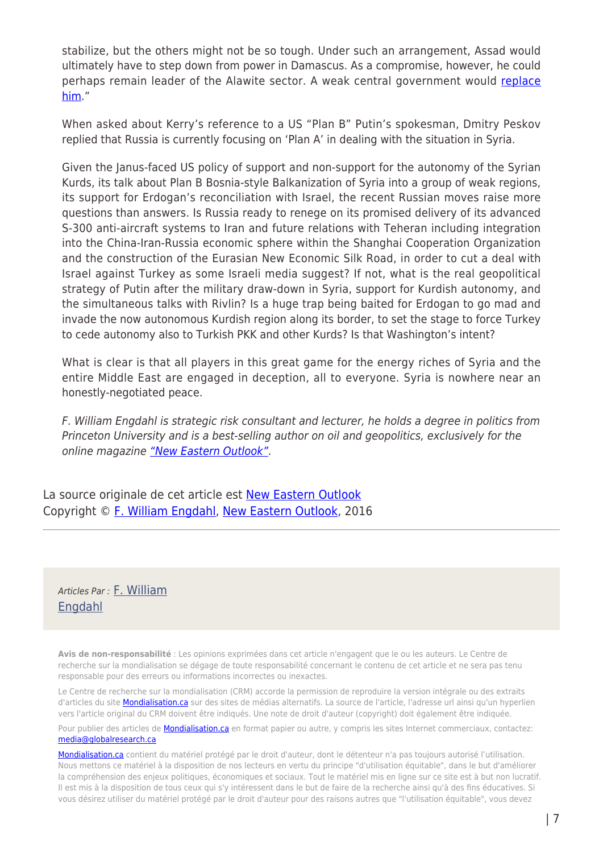stabilize, but the others might not be so tough. Under such an arrangement, Assad would ultimately have to step down from power in Damascus. As a compromise, however, he could perhaps remain leader of the Alawite sector. A weak central government would [replace](http://blogs.reuters.com/great-debate/2015/10/06/syrias-one-hope-may-be-as-dim-as-bosnias-once-was/) [him](http://blogs.reuters.com/great-debate/2015/10/06/syrias-one-hope-may-be-as-dim-as-bosnias-once-was/)."

When asked about Kerry's reference to a US "Plan B" Putin's spokesman, Dmitry Peskov replied that Russia is currently focusing on 'Plan A' in dealing with the situation in Syria.

Given the Janus-faced US policy of support and non-support for the autonomy of the Syrian Kurds, its talk about Plan B Bosnia-style Balkanization of Syria into a group of weak regions, its support for Erdogan's reconciliation with Israel, the recent Russian moves raise more questions than answers. Is Russia ready to renege on its promised delivery of its advanced S-300 anti-aircraft systems to Iran and future relations with Teheran including integration into the China-Iran-Russia economic sphere within the Shanghai Cooperation Organization and the construction of the Eurasian New Economic Silk Road, in order to cut a deal with Israel against Turkey as some Israeli media suggest? If not, what is the real geopolitical strategy of Putin after the military draw-down in Syria, support for Kurdish autonomy, and the simultaneous talks with Rivlin? Is a huge trap being baited for Erdogan to go mad and invade the now autonomous Kurdish region along its border, to set the stage to force Turkey to cede autonomy also to Turkish PKK and other Kurds? Is that Washington's intent?

What is clear is that all players in this great game for the energy riches of Syria and the entire Middle East are engaged in deception, all to everyone. Syria is nowhere near an honestly-negotiated peace.

F. William Engdahl is strategic risk consultant and lecturer, he holds a degree in politics from Princeton University and is a best-selling author on oil and geopolitics, exclusively for the online magazine ["New Eastern Outlook"](http://journal-neo.org/).

La source originale de cet article est [New Eastern Outlook](http://journal-neo.org/2016/04/04/kurd-autonomy-is-it-kerrys-plan-b-or-putins-plan-a/) Copyright © [F. William Engdahl](https://www.mondialisation.ca/author/f-william-engdahl), [New Eastern Outlook,](http://journal-neo.org/2016/04/04/kurd-autonomy-is-it-kerrys-plan-b-or-putins-plan-a/) 2016

Articles Par : [F. William](https://www.mondialisation.ca/author/f-william-engdahl) [Engdahl](https://www.mondialisation.ca/author/f-william-engdahl)

**Avis de non-responsabilité** : Les opinions exprimées dans cet article n'engagent que le ou les auteurs. Le Centre de recherche sur la mondialisation se dégage de toute responsabilité concernant le contenu de cet article et ne sera pas tenu responsable pour des erreurs ou informations incorrectes ou inexactes.

Le Centre de recherche sur la mondialisation (CRM) accorde la permission de reproduire la version intégrale ou des extraits d'articles du site **Mondialisation.ca** sur des sites de médias alternatifs. La source de l'article, l'adresse url ainsi qu'un hyperlien vers l'article original du CRM doivent être indiqués. Une note de droit d'auteur (copyright) doit également être indiquée.

Pour publier des articles de [Mondialisation.ca](https://mondialisation.ca) en format papier ou autre, y compris les sites Internet commerciaux, contactez: [media@globalresearch.ca](mailto:media@globalresearch.ca)

[Mondialisation.ca](https://mondialisation.ca) contient du matériel protégé par le droit d'auteur, dont le détenteur n'a pas toujours autorisé l'utilisation. Nous mettons ce matériel à la disposition de nos lecteurs en vertu du principe "d'utilisation équitable", dans le but d'améliorer la compréhension des enjeux politiques, économiques et sociaux. Tout le matériel mis en ligne sur ce site est à but non lucratif. Il est mis à la disposition de tous ceux qui s'y intéressent dans le but de faire de la recherche ainsi qu'à des fins éducatives. Si vous désirez utiliser du matériel protégé par le droit d'auteur pour des raisons autres que "l'utilisation équitable", vous devez